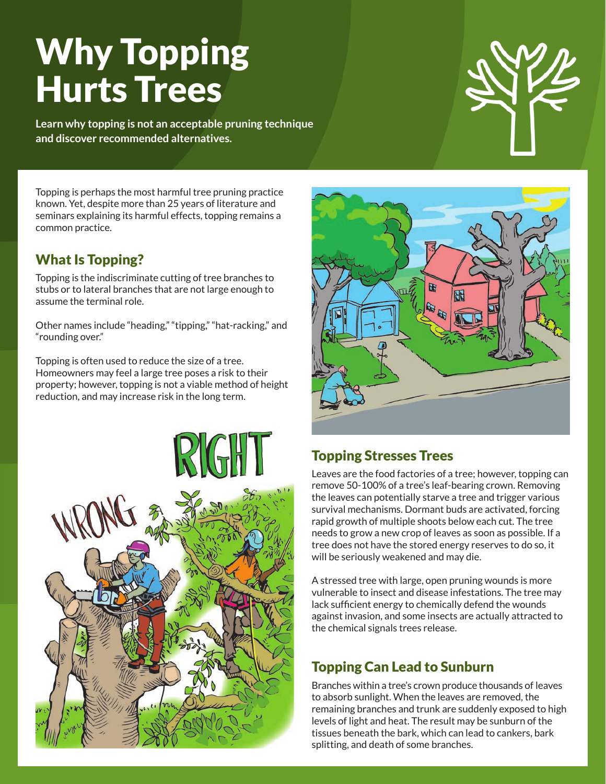# Why Topping Hurts Trees

**Learn why topping is not an acceptable pruning technique and discover recommended alternatives.**

Topping is perhaps the most harmful tree pruning practice known. Yet, despite more than 25 years of literature and seminars explaining its harmful effects, topping remains a common practice.

#### What Is Topping?

Topping is the indiscriminate cutting of tree branches to stubs or to lateral branches that are not large enough to assume the terminal role.

Other names include "heading," "tipping," "hat-racking," and "rounding over."

Topping is often used to reduce the size of a tree. Homeowners may feel a large tree poses a risk to their property; however, topping is not a viable method of height reduction, and may increase risk in the long term.





#### Topping Stresses Trees

Leaves are the food factories of a tree; however, topping can remove 50-100% of a tree's leaf-bearing crown. Removing the leaves can potentially starve a tree and trigger various survival mechanisms. Dormant buds are activated, forcing rapid growth of multiple shoots below each cut. The tree needs to grow a new crop of leaves as soon as possible. If a tree does not have the stored energy reserves to do so, it will be seriously weakened and may die.

A stressed tree with large, open pruning wounds is more vulnerable to insect and disease infestations. The tree may lack sufficient energy to chemically defend the wounds against invasion, and some insects are actually attracted to the chemical signals trees release.

## Topping Can Lead to Sunburn

Branches within a tree's crown produce thousands of leaves to absorb sunlight. When the leaves are removed, the remaining branches and trunk are suddenly exposed to high levels of light and heat. The result may be sunburn of the tissues beneath the bark, which can lead to cankers, bark splitting, and death of some branches.

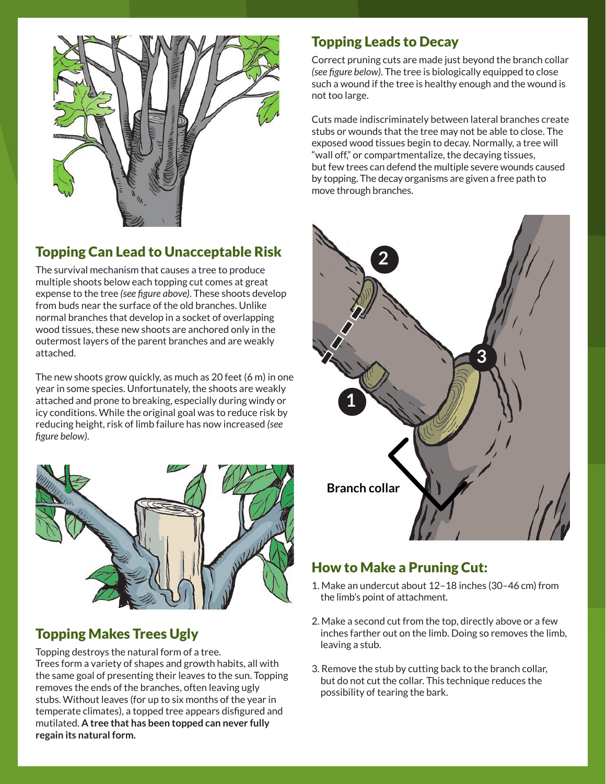

## Topping Can Lead to Unacceptable Risk

The survival mechanism that causes a tree to produce multiple shoots below each topping cut comes at great expense to the tree *(see figure above)*. These shoots develop from buds near the surface of the old branches. Unlike normal branches that develop in a socket of overlapping wood tissues, these new shoots are anchored only in the outermost layers of the parent branches and are weakly attached.

The new shoots grow quickly, as much as 20 feet (6 m) in one year in some species. Unfortunately, the shoots are weakly attached and prone to breaking, especially during windy or icy conditions. While the original goal was to reduce risk by reducing height, risk of limb failure has now increased *(see figure below)*.



## Topping Makes Trees Ugly

Topping destroys the natural form of a tree. Trees form a variety of shapes and growth habits, all with the same goal of presenting their leaves to the sun. Topping removes the ends of the branches, often leaving ugly stubs. Without leaves (for up to six months of the year in temperate climates), a topped tree appears disfigured and mutilated. **A tree that has been topped can never fully regain its natural form.**

#### Topping Leads to Decay

Correct pruning cuts are made just beyond the branch collar *(see figure below)*. The tree is biologically equipped to close such a wound if the tree is healthy enough and the wound is not too large.

Cuts made indiscriminately between lateral branches create stubs or wounds that the tree may not be able to close. The exposed wood tissues begin to decay. Normally, a tree will "wall off," or compartmentalize, the decaying tissues, but few trees can defend the multiple severe wounds caused by topping. The decay organisms are given a free path to move through branches.



#### How to Make a Pruning Cut:

- 1. Make an undercut about 12–18 inches (30–46 cm) from the limb's point of attachment.
- 2. Make a second cut from the top, directly above or a few inches farther out on the limb. Doing so removes the limb, leaving a stub.
- 3. Remove the stub by cutting back to the branch collar, but do not cut the collar. This technique reduces the possibility of tearing the bark.